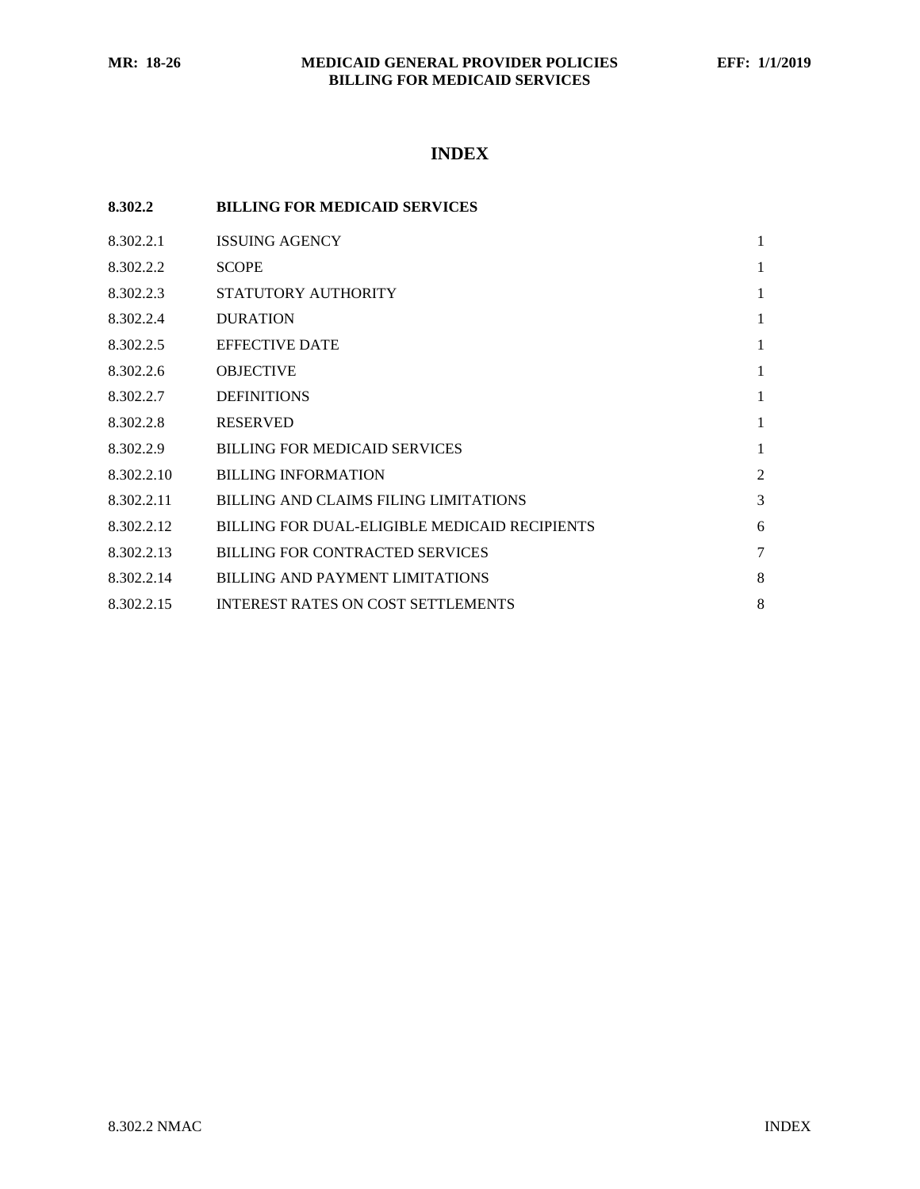# **INDEX**

| 8.302.2    | <b>BILLING FOR MEDICAID SERVICES</b>          |                |
|------------|-----------------------------------------------|----------------|
| 8.302.2.1  | <b>ISSUING AGENCY</b>                         | $\mathbf{1}$   |
| 8.302.2.2  | <b>SCOPE</b>                                  | 1              |
| 8.302.2.3  | STATUTORY AUTHORITY                           | $\mathbf{1}$   |
| 8.302.2.4  | <b>DURATION</b>                               | $\mathbf{1}$   |
| 8.302.2.5  | <b>EFFECTIVE DATE</b>                         | $\mathbf{1}$   |
| 8.302.2.6  | <b>OBJECTIVE</b>                              | $\mathbf{1}$   |
| 8.302.2.7  | <b>DEFINITIONS</b>                            | $\mathbf{1}$   |
| 8.302.2.8  | <b>RESERVED</b>                               | $\mathbf{1}$   |
| 8.302.2.9  | <b>BILLING FOR MEDICAID SERVICES</b>          | 1              |
| 8.302.2.10 | <b>BILLING INFORMATION</b>                    | $\overline{2}$ |
| 8.302.2.11 | BILLING AND CLAIMS FILING LIMITATIONS         | 3              |
| 8.302.2.12 | BILLING FOR DUAL-ELIGIBLE MEDICAID RECIPIENTS | 6              |
| 8.302.2.13 | <b>BILLING FOR CONTRACTED SERVICES</b>        | 7              |
| 8.302.2.14 | BILLING AND PAYMENT LIMITATIONS               | 8              |
| 8.302.2.15 | <b>INTEREST RATES ON COST SETTLEMENTS</b>     | 8              |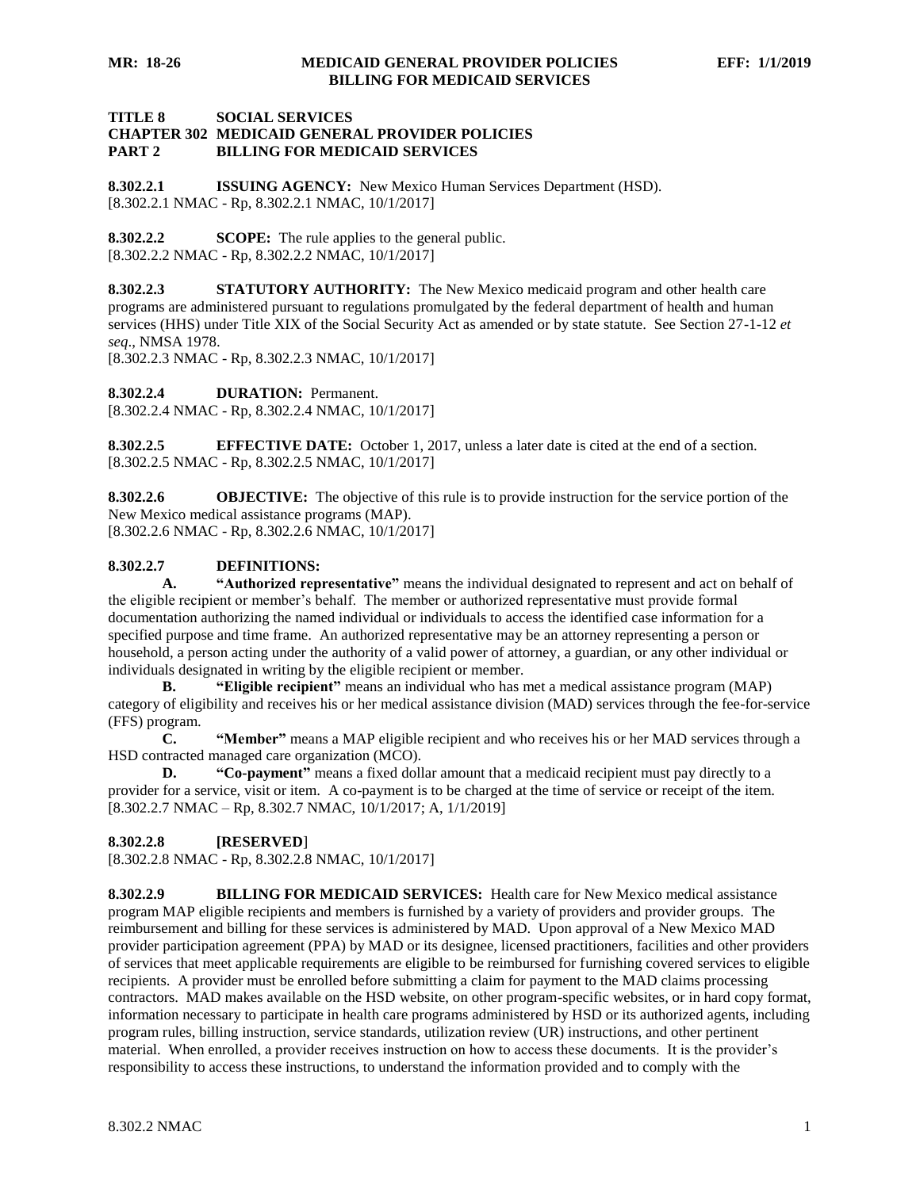# **TITLE 8 SOCIAL SERVICES CHAPTER 302 MEDICAID GENERAL PROVIDER POLICIES PART 2 BILLING FOR MEDICAID SERVICES**

<span id="page-1-0"></span>**8.302.2.1 ISSUING AGENCY:** New Mexico Human Services Department (HSD). [8.302.2.1 NMAC - Rp, 8.302.2.1 NMAC, 10/1/2017]

<span id="page-1-1"></span>**8.302.2.2 SCOPE:** The rule applies to the general public. [8.302.2.2 NMAC - Rp, 8.302.2.2 NMAC, 10/1/2017]

<span id="page-1-2"></span>**8.302.2.3 STATUTORY AUTHORITY:** The New Mexico medicaid program and other health care programs are administered pursuant to regulations promulgated by the federal department of health and human services (HHS) under Title XIX of the Social Security Act as amended or by state statute. See Section 27-1-12 *et seq*., NMSA 1978.

[8.302.2.3 NMAC - Rp, 8.302.2.3 NMAC, 10/1/2017]

<span id="page-1-3"></span>**8.302.2.4 DURATION:** Permanent.

[8.302.2.4 NMAC - Rp, 8.302.2.4 NMAC, 10/1/2017]

<span id="page-1-4"></span>**8.302.2.5 EFFECTIVE DATE:** October 1, 2017, unless a later date is cited at the end of a section. [8.302.2.5 NMAC - Rp, 8.302.2.5 NMAC, 10/1/2017]

<span id="page-1-5"></span>**8.302.2.6 OBJECTIVE:** The objective of this rule is to provide instruction for the service portion of the New Mexico medical assistance programs (MAP). [8.302.2.6 NMAC - Rp, 8.302.2.6 NMAC, 10/1/2017]

## <span id="page-1-6"></span>**8.302.2.7 DEFINITIONS:**

**A. "Authorized representative"** means the individual designated to represent and act on behalf of the eligible recipient or member's behalf. The member or authorized representative must provide formal documentation authorizing the named individual or individuals to access the identified case information for a specified purpose and time frame. An authorized representative may be an attorney representing a person or household, a person acting under the authority of a valid power of attorney, a guardian, or any other individual or individuals designated in writing by the eligible recipient or member.

**B. "Eligible recipient"** means an individual who has met a medical assistance program (MAP) category of eligibility and receives his or her medical assistance division (MAD) services through the fee-for-service (FFS) program.

**C. "Member"** means a MAP eligible recipient and who receives his or her MAD services through a HSD contracted managed care organization (MCO).

**D. "Co-payment"** means a fixed dollar amount that a medicaid recipient must pay directly to a provider for a service, visit or item. A co-payment is to be charged at the time of service or receipt of the item. [8.302.2.7 NMAC – Rp, 8.302.7 NMAC, 10/1/2017; A, 1/1/2019]

## <span id="page-1-7"></span>**8.302.2.8 [RESERVED**]

[8.302.2.8 NMAC - Rp, 8.302.2.8 NMAC, 10/1/2017]

<span id="page-1-8"></span>**8.302.2.9 BILLING FOR MEDICAID SERVICES:** Health care for New Mexico medical assistance program MAP eligible recipients and members is furnished by a variety of providers and provider groups. The reimbursement and billing for these services is administered by MAD. Upon approval of a New Mexico MAD provider participation agreement (PPA) by MAD or its designee, licensed practitioners, facilities and other providers of services that meet applicable requirements are eligible to be reimbursed for furnishing covered services to eligible recipients. A provider must be enrolled before submitting a claim for payment to the MAD claims processing contractors. MAD makes available on the HSD website, on other program-specific websites, or in hard copy format, information necessary to participate in health care programs administered by HSD or its authorized agents, including program rules, billing instruction, service standards, utilization review (UR) instructions, and other pertinent material. When enrolled, a provider receives instruction on how to access these documents. It is the provider's responsibility to access these instructions, to understand the information provided and to comply with the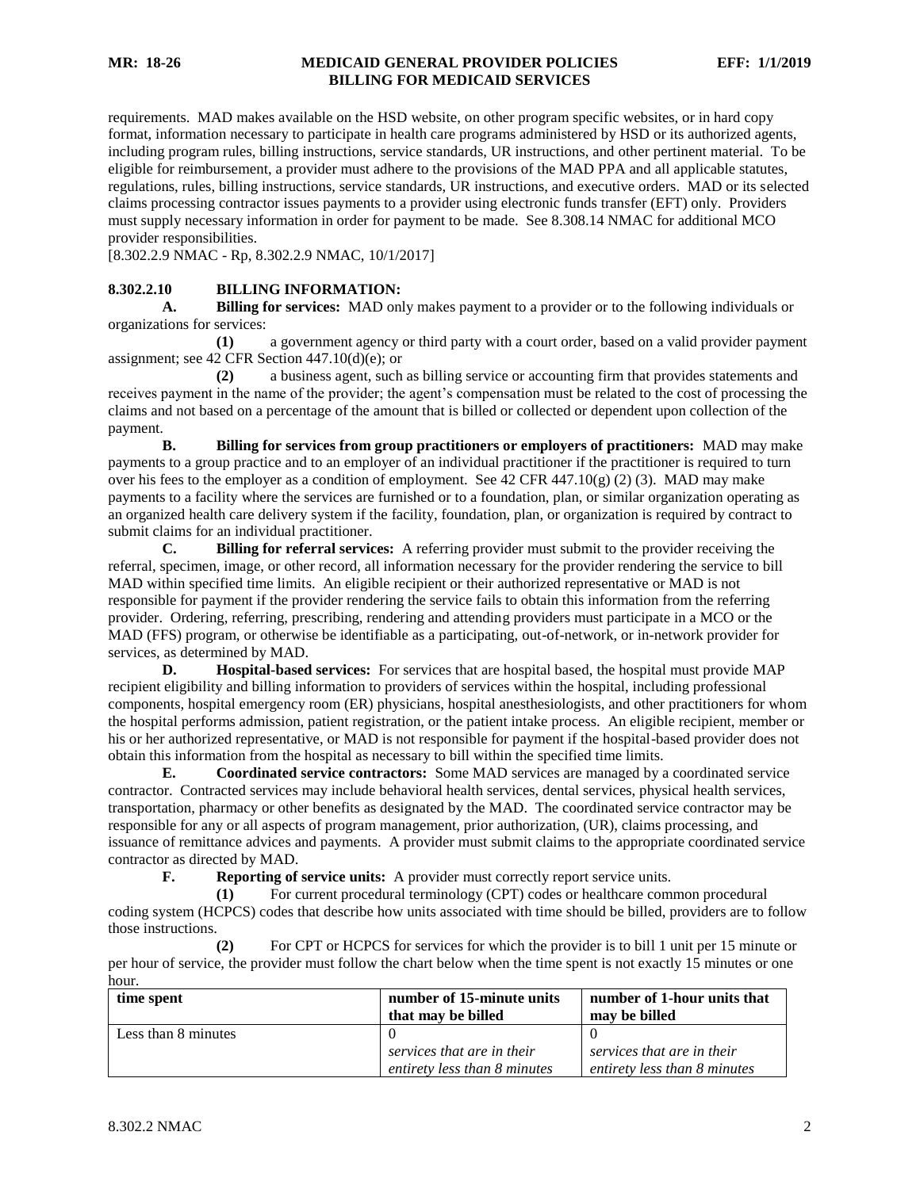requirements. MAD makes available on the HSD website, on other program specific websites, or in hard copy format, information necessary to participate in health care programs administered by HSD or its authorized agents, including program rules, billing instructions, service standards, UR instructions, and other pertinent material. To be eligible for reimbursement, a provider must adhere to the provisions of the MAD PPA and all applicable statutes, regulations, rules, billing instructions, service standards, UR instructions, and executive orders. MAD or its selected claims processing contractor issues payments to a provider using electronic funds transfer (EFT) only. Providers must supply necessary information in order for payment to be made. See 8.308.14 NMAC for additional MCO provider responsibilities.

[8.302.2.9 NMAC - Rp, 8.302.2.9 NMAC, 10/1/2017]

# <span id="page-2-0"></span>**8.302.2.10 BILLING INFORMATION:**

**A. Billing for services:** MAD only makes payment to a provider or to the following individuals or organizations for services:

**(1)** a government agency or third party with a court order, based on a valid provider payment assignment; see 42 CFR Section 447.10(d)(e); or

**(2)** a business agent, such as billing service or accounting firm that provides statements and receives payment in the name of the provider; the agent's compensation must be related to the cost of processing the claims and not based on a percentage of the amount that is billed or collected or dependent upon collection of the payment.

**B. Billing for services from group practitioners or employers of practitioners:** MAD may make payments to a group practice and to an employer of an individual practitioner if the practitioner is required to turn over his fees to the employer as a condition of employment. See 42 CFR 447.10(g) (2) (3). MAD may make payments to a facility where the services are furnished or to a foundation, plan, or similar organization operating as an organized health care delivery system if the facility, foundation, plan, or organization is required by contract to submit claims for an individual practitioner.

**C. Billing for referral services:** A referring provider must submit to the provider receiving the referral, specimen, image, or other record, all information necessary for the provider rendering the service to bill MAD within specified time limits. An eligible recipient or their authorized representative or MAD is not responsible for payment if the provider rendering the service fails to obtain this information from the referring provider. Ordering, referring, prescribing, rendering and attending providers must participate in a MCO or the MAD (FFS) program, or otherwise be identifiable as a participating, out-of-network, or in-network provider for services, as determined by MAD.

**D. Hospital-based services:** For services that are hospital based, the hospital must provide MAP recipient eligibility and billing information to providers of services within the hospital, including professional components, hospital emergency room (ER) physicians, hospital anesthesiologists, and other practitioners for whom the hospital performs admission, patient registration, or the patient intake process. An eligible recipient, member or his or her authorized representative, or MAD is not responsible for payment if the hospital-based provider does not obtain this information from the hospital as necessary to bill within the specified time limits.

**E. Coordinated service contractors:** Some MAD services are managed by a coordinated service contractor. Contracted services may include behavioral health services, dental services, physical health services, transportation, pharmacy or other benefits as designated by the MAD. The coordinated service contractor may be responsible for any or all aspects of program management, prior authorization, (UR), claims processing, and issuance of remittance advices and payments. A provider must submit claims to the appropriate coordinated service contractor as directed by MAD.

**F. Reporting of service units:** A provider must correctly report service units.

**(1)** For current procedural terminology (CPT) codes or healthcare common procedural coding system (HCPCS) codes that describe how units associated with time should be billed, providers are to follow those instructions.

**(2)** For CPT or HCPCS for services for which the provider is to bill 1 unit per 15 minute or per hour of service, the provider must follow the chart below when the time spent is not exactly 15 minutes or one hour.

| time spent          | number of 15-minute units    | number of 1-hour units that  |
|---------------------|------------------------------|------------------------------|
|                     | that may be billed           | may be billed                |
| Less than 8 minutes |                              |                              |
|                     | services that are in their   | services that are in their   |
|                     | entirety less than 8 minutes | entirety less than 8 minutes |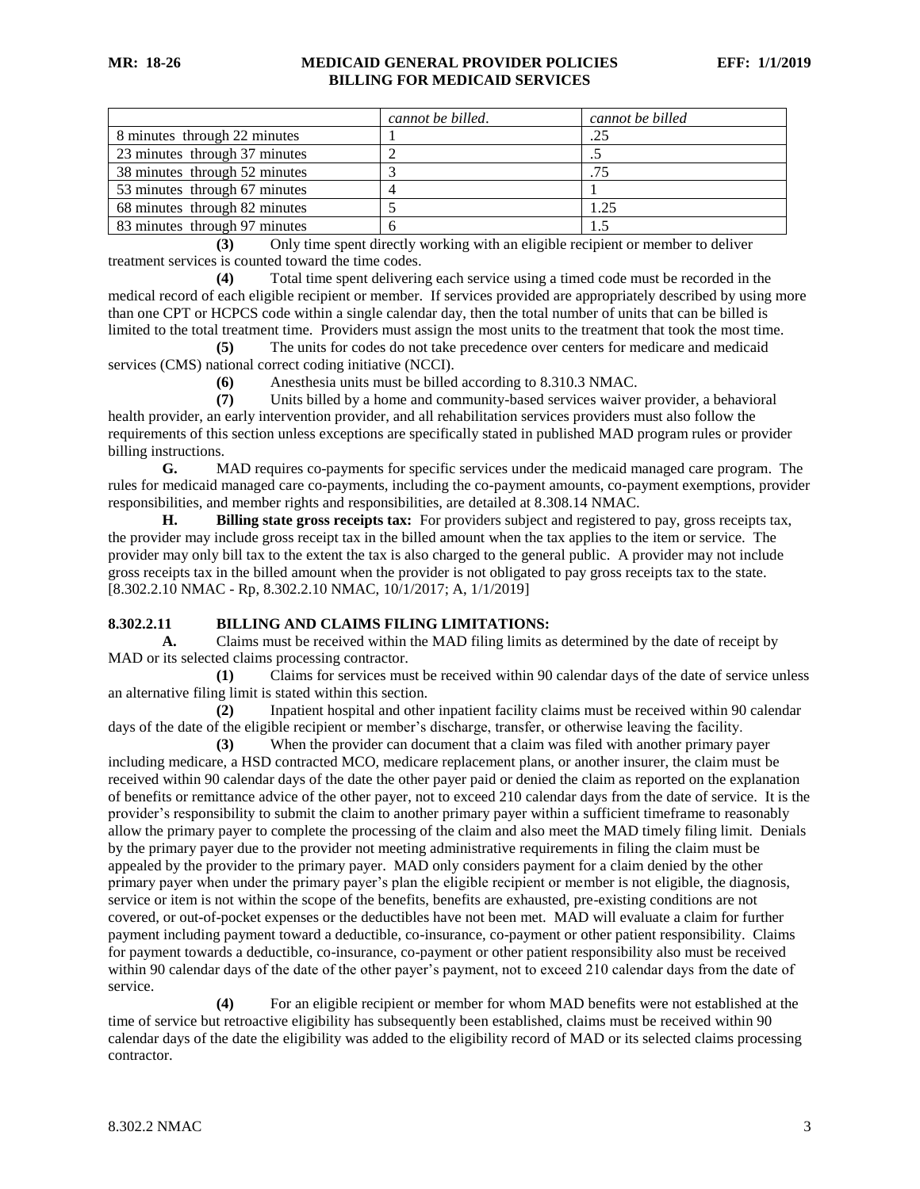|                               | cannot be billed. | cannot be billed |
|-------------------------------|-------------------|------------------|
| 8 minutes through 22 minutes  |                   | .25              |
| 23 minutes through 37 minutes |                   |                  |
| 38 minutes through 52 minutes |                   | 75               |
| 53 minutes through 67 minutes |                   |                  |
| 68 minutes through 82 minutes |                   | 1.25             |
| 83 minutes through 97 minutes |                   |                  |

**(3)** Only time spent directly working with an eligible recipient or member to deliver treatment services is counted toward the time codes.

**(4)** Total time spent delivering each service using a timed code must be recorded in the medical record of each eligible recipient or member. If services provided are appropriately described by using more than one CPT or HCPCS code within a single calendar day, then the total number of units that can be billed is limited to the total treatment time. Providers must assign the most units to the treatment that took the most time.

**(5)** The units for codes do not take precedence over centers for medicare and medicaid services (CMS) national correct coding initiative (NCCI).

**(6)** Anesthesia units must be billed according to 8.310.3 NMAC.

**(7)** Units billed by a home and community-based services waiver provider, a behavioral health provider, an early intervention provider, and all rehabilitation services providers must also follow the requirements of this section unless exceptions are specifically stated in published MAD program rules or provider billing instructions.

**G.** MAD requires co-payments for specific services under the medicaid managed care program. The rules for medicaid managed care co-payments, including the co-payment amounts, co-payment exemptions, provider responsibilities, and member rights and responsibilities, are detailed at 8.308.14 NMAC.

**H. Billing state gross receipts tax:** For providers subject and registered to pay, gross receipts tax, the provider may include gross receipt tax in the billed amount when the tax applies to the item or service. The provider may only bill tax to the extent the tax is also charged to the general public. A provider may not include gross receipts tax in the billed amount when the provider is not obligated to pay gross receipts tax to the state. [8.302.2.10 NMAC - Rp, 8.302.2.10 NMAC, 10/1/2017; A, 1/1/2019]

## <span id="page-3-0"></span>**8.302.2.11 BILLING AND CLAIMS FILING LIMITATIONS:**

**A.** Claims must be received within the MAD filing limits as determined by the date of receipt by MAD or its selected claims processing contractor.

**(1)** Claims for services must be received within 90 calendar days of the date of service unless an alternative filing limit is stated within this section.

**(2)** Inpatient hospital and other inpatient facility claims must be received within 90 calendar days of the date of the eligible recipient or member's discharge, transfer, or otherwise leaving the facility.

**(3)** When the provider can document that a claim was filed with another primary payer including medicare, a HSD contracted MCO, medicare replacement plans, or another insurer, the claim must be received within 90 calendar days of the date the other payer paid or denied the claim as reported on the explanation of benefits or remittance advice of the other payer, not to exceed 210 calendar days from the date of service. It is the provider's responsibility to submit the claim to another primary payer within a sufficient timeframe to reasonably allow the primary payer to complete the processing of the claim and also meet the MAD timely filing limit. Denials by the primary payer due to the provider not meeting administrative requirements in filing the claim must be appealed by the provider to the primary payer. MAD only considers payment for a claim denied by the other primary payer when under the primary payer's plan the eligible recipient or member is not eligible, the diagnosis, service or item is not within the scope of the benefits, benefits are exhausted, pre-existing conditions are not covered, or out-of-pocket expenses or the deductibles have not been met. MAD will evaluate a claim for further payment including payment toward a deductible, co-insurance, co-payment or other patient responsibility. Claims for payment towards a deductible, co-insurance, co-payment or other patient responsibility also must be received within 90 calendar days of the date of the other payer's payment, not to exceed 210 calendar days from the date of service.

**(4)** For an eligible recipient or member for whom MAD benefits were not established at the time of service but retroactive eligibility has subsequently been established, claims must be received within 90 calendar days of the date the eligibility was added to the eligibility record of MAD or its selected claims processing contractor.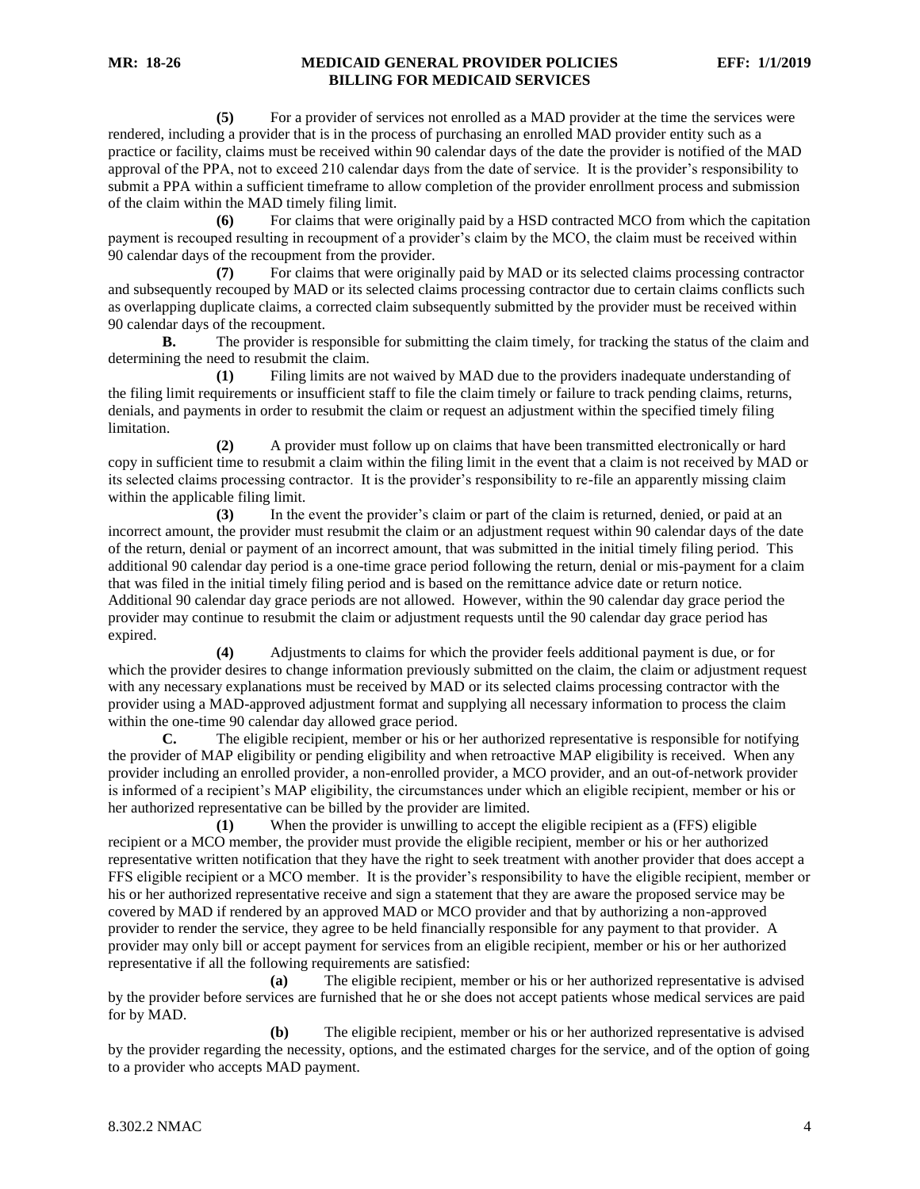**(5)** For a provider of services not enrolled as a MAD provider at the time the services were rendered, including a provider that is in the process of purchasing an enrolled MAD provider entity such as a practice or facility, claims must be received within 90 calendar days of the date the provider is notified of the MAD approval of the PPA, not to exceed 210 calendar days from the date of service. It is the provider's responsibility to submit a PPA within a sufficient timeframe to allow completion of the provider enrollment process and submission of the claim within the MAD timely filing limit.

**(6)** For claims that were originally paid by a HSD contracted MCO from which the capitation payment is recouped resulting in recoupment of a provider's claim by the MCO, the claim must be received within 90 calendar days of the recoupment from the provider.

**(7)** For claims that were originally paid by MAD or its selected claims processing contractor and subsequently recouped by MAD or its selected claims processing contractor due to certain claims conflicts such as overlapping duplicate claims, a corrected claim subsequently submitted by the provider must be received within 90 calendar days of the recoupment.

**B.** The provider is responsible for submitting the claim timely, for tracking the status of the claim and determining the need to resubmit the claim.

**(1)** Filing limits are not waived by MAD due to the providers inadequate understanding of the filing limit requirements or insufficient staff to file the claim timely or failure to track pending claims, returns, denials, and payments in order to resubmit the claim or request an adjustment within the specified timely filing limitation.

**(2)** A provider must follow up on claims that have been transmitted electronically or hard copy in sufficient time to resubmit a claim within the filing limit in the event that a claim is not received by MAD or its selected claims processing contractor. It is the provider's responsibility to re-file an apparently missing claim within the applicable filing limit.

**(3)** In the event the provider's claim or part of the claim is returned, denied, or paid at an incorrect amount, the provider must resubmit the claim or an adjustment request within 90 calendar days of the date of the return, denial or payment of an incorrect amount, that was submitted in the initial timely filing period. This additional 90 calendar day period is a one-time grace period following the return, denial or mis-payment for a claim that was filed in the initial timely filing period and is based on the remittance advice date or return notice. Additional 90 calendar day grace periods are not allowed. However, within the 90 calendar day grace period the provider may continue to resubmit the claim or adjustment requests until the 90 calendar day grace period has expired.

**(4)** Adjustments to claims for which the provider feels additional payment is due, or for which the provider desires to change information previously submitted on the claim, the claim or adjustment request with any necessary explanations must be received by MAD or its selected claims processing contractor with the provider using a MAD-approved adjustment format and supplying all necessary information to process the claim within the one-time 90 calendar day allowed grace period.

**C.** The eligible recipient, member or his or her authorized representative is responsible for notifying the provider of MAP eligibility or pending eligibility and when retroactive MAP eligibility is received. When any provider including an enrolled provider, a non-enrolled provider, a MCO provider, and an out-of-network provider is informed of a recipient's MAP eligibility, the circumstances under which an eligible recipient, member or his or her authorized representative can be billed by the provider are limited.

**(1)** When the provider is unwilling to accept the eligible recipient as a (FFS) eligible recipient or a MCO member, the provider must provide the eligible recipient, member or his or her authorized representative written notification that they have the right to seek treatment with another provider that does accept a FFS eligible recipient or a MCO member. It is the provider's responsibility to have the eligible recipient, member or his or her authorized representative receive and sign a statement that they are aware the proposed service may be covered by MAD if rendered by an approved MAD or MCO provider and that by authorizing a non-approved provider to render the service, they agree to be held financially responsible for any payment to that provider. A provider may only bill or accept payment for services from an eligible recipient, member or his or her authorized representative if all the following requirements are satisfied:

**(a)** The eligible recipient, member or his or her authorized representative is advised by the provider before services are furnished that he or she does not accept patients whose medical services are paid for by MAD.

**(b)** The eligible recipient, member or his or her authorized representative is advised by the provider regarding the necessity, options, and the estimated charges for the service, and of the option of going to a provider who accepts MAD payment.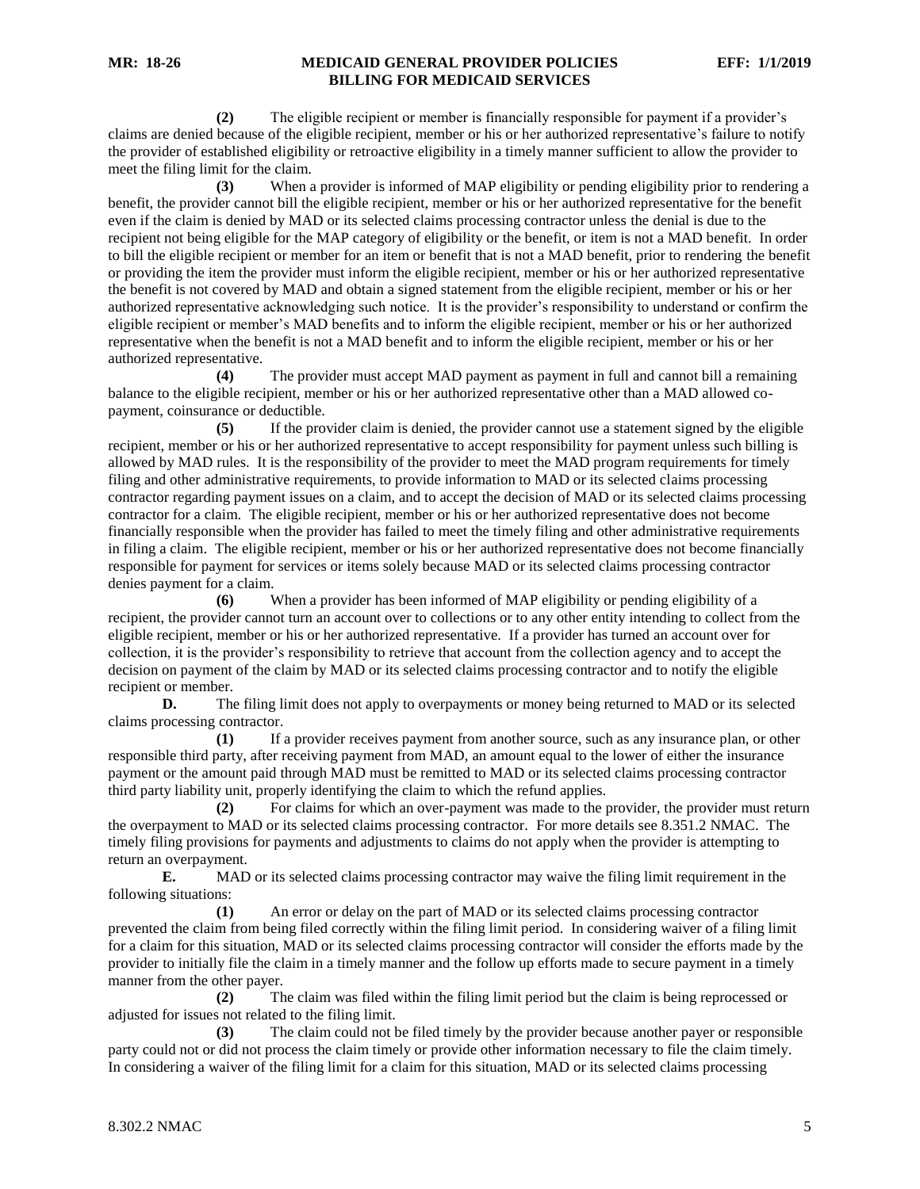**(2)** The eligible recipient or member is financially responsible for payment if a provider's claims are denied because of the eligible recipient, member or his or her authorized representative's failure to notify the provider of established eligibility or retroactive eligibility in a timely manner sufficient to allow the provider to meet the filing limit for the claim.

**(3)** When a provider is informed of MAP eligibility or pending eligibility prior to rendering a benefit, the provider cannot bill the eligible recipient, member or his or her authorized representative for the benefit even if the claim is denied by MAD or its selected claims processing contractor unless the denial is due to the recipient not being eligible for the MAP category of eligibility or the benefit, or item is not a MAD benefit. In order to bill the eligible recipient or member for an item or benefit that is not a MAD benefit, prior to rendering the benefit or providing the item the provider must inform the eligible recipient, member or his or her authorized representative the benefit is not covered by MAD and obtain a signed statement from the eligible recipient, member or his or her authorized representative acknowledging such notice. It is the provider's responsibility to understand or confirm the eligible recipient or member's MAD benefits and to inform the eligible recipient, member or his or her authorized representative when the benefit is not a MAD benefit and to inform the eligible recipient, member or his or her authorized representative.

**(4)** The provider must accept MAD payment as payment in full and cannot bill a remaining balance to the eligible recipient, member or his or her authorized representative other than a MAD allowed copayment, coinsurance or deductible.

**(5)** If the provider claim is denied, the provider cannot use a statement signed by the eligible recipient, member or his or her authorized representative to accept responsibility for payment unless such billing is allowed by MAD rules. It is the responsibility of the provider to meet the MAD program requirements for timely filing and other administrative requirements, to provide information to MAD or its selected claims processing contractor regarding payment issues on a claim, and to accept the decision of MAD or its selected claims processing contractor for a claim. The eligible recipient, member or his or her authorized representative does not become financially responsible when the provider has failed to meet the timely filing and other administrative requirements in filing a claim. The eligible recipient, member or his or her authorized representative does not become financially responsible for payment for services or items solely because MAD or its selected claims processing contractor denies payment for a claim.

**(6)** When a provider has been informed of MAP eligibility or pending eligibility of a recipient, the provider cannot turn an account over to collections or to any other entity intending to collect from the eligible recipient, member or his or her authorized representative. If a provider has turned an account over for collection, it is the provider's responsibility to retrieve that account from the collection agency and to accept the decision on payment of the claim by MAD or its selected claims processing contractor and to notify the eligible recipient or member.

**D.** The filing limit does not apply to overpayments or money being returned to MAD or its selected claims processing contractor.

**(1)** If a provider receives payment from another source, such as any insurance plan, or other responsible third party, after receiving payment from MAD, an amount equal to the lower of either the insurance payment or the amount paid through MAD must be remitted to MAD or its selected claims processing contractor third party liability unit, properly identifying the claim to which the refund applies.

**(2)** For claims for which an over-payment was made to the provider, the provider must return the overpayment to MAD or its selected claims processing contractor. For more details see 8.351.2 NMAC. The timely filing provisions for payments and adjustments to claims do not apply when the provider is attempting to return an overpayment.

**E.** MAD or its selected claims processing contractor may waive the filing limit requirement in the following situations:

**(1)** An error or delay on the part of MAD or its selected claims processing contractor prevented the claim from being filed correctly within the filing limit period. In considering waiver of a filing limit for a claim for this situation, MAD or its selected claims processing contractor will consider the efforts made by the provider to initially file the claim in a timely manner and the follow up efforts made to secure payment in a timely manner from the other payer.

**(2)** The claim was filed within the filing limit period but the claim is being reprocessed or adjusted for issues not related to the filing limit.

**(3)** The claim could not be filed timely by the provider because another payer or responsible party could not or did not process the claim timely or provide other information necessary to file the claim timely. In considering a waiver of the filing limit for a claim for this situation, MAD or its selected claims processing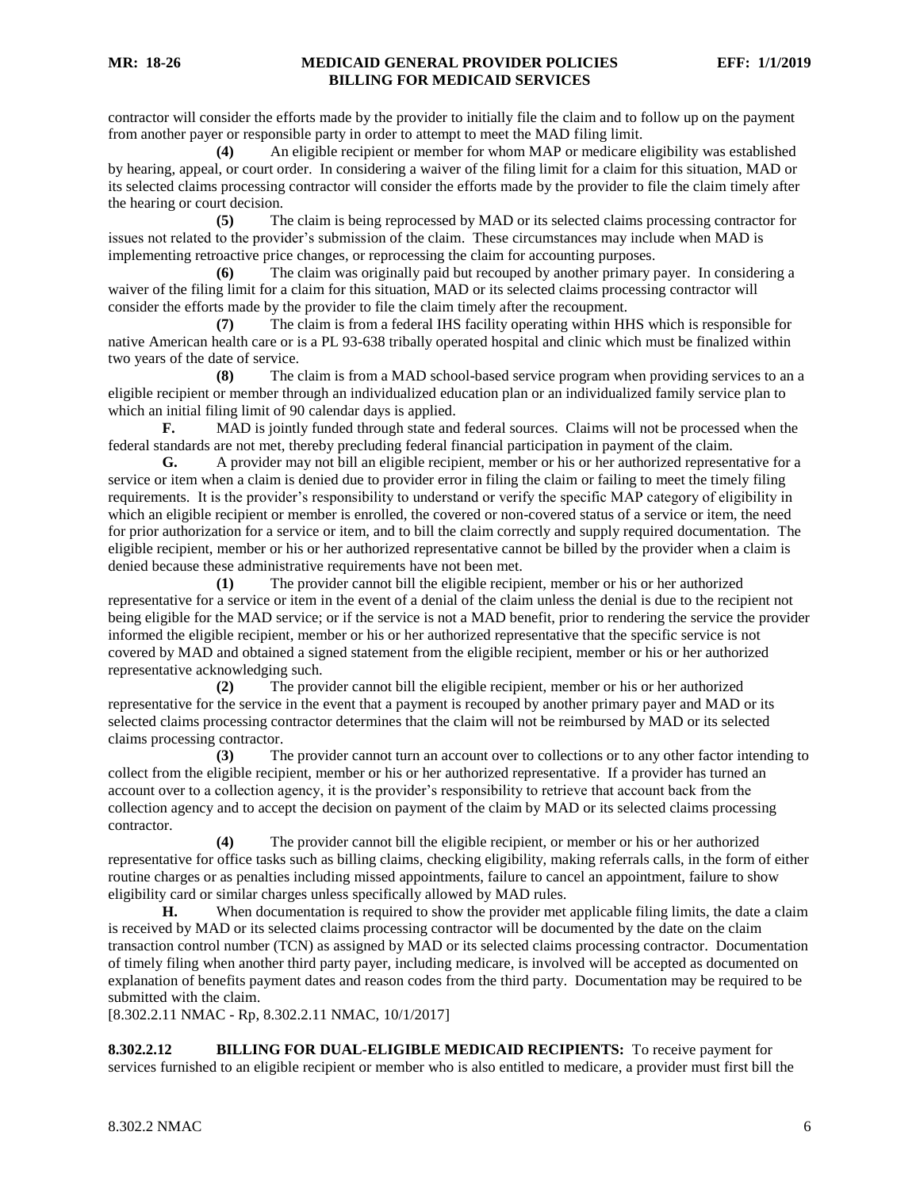contractor will consider the efforts made by the provider to initially file the claim and to follow up on the payment from another payer or responsible party in order to attempt to meet the MAD filing limit.

**(4)** An eligible recipient or member for whom MAP or medicare eligibility was established by hearing, appeal, or court order. In considering a waiver of the filing limit for a claim for this situation, MAD or its selected claims processing contractor will consider the efforts made by the provider to file the claim timely after the hearing or court decision.

**(5)** The claim is being reprocessed by MAD or its selected claims processing contractor for issues not related to the provider's submission of the claim. These circumstances may include when MAD is implementing retroactive price changes, or reprocessing the claim for accounting purposes.

**(6)** The claim was originally paid but recouped by another primary payer. In considering a waiver of the filing limit for a claim for this situation, MAD or its selected claims processing contractor will consider the efforts made by the provider to file the claim timely after the recoupment.

**(7)** The claim is from a federal IHS facility operating within HHS which is responsible for native American health care or is a PL 93-638 tribally operated hospital and clinic which must be finalized within two years of the date of service.

**(8)** The claim is from a MAD school-based service program when providing services to an a eligible recipient or member through an individualized education plan or an individualized family service plan to which an initial filing limit of 90 calendar days is applied.

**F.** MAD is jointly funded through state and federal sources. Claims will not be processed when the federal standards are not met, thereby precluding federal financial participation in payment of the claim.

**G.** A provider may not bill an eligible recipient, member or his or her authorized representative for a service or item when a claim is denied due to provider error in filing the claim or failing to meet the timely filing requirements. It is the provider's responsibility to understand or verify the specific MAP category of eligibility in which an eligible recipient or member is enrolled, the covered or non-covered status of a service or item, the need for prior authorization for a service or item, and to bill the claim correctly and supply required documentation. The eligible recipient, member or his or her authorized representative cannot be billed by the provider when a claim is denied because these administrative requirements have not been met.

**(1)** The provider cannot bill the eligible recipient, member or his or her authorized representative for a service or item in the event of a denial of the claim unless the denial is due to the recipient not being eligible for the MAD service; or if the service is not a MAD benefit, prior to rendering the service the provider informed the eligible recipient, member or his or her authorized representative that the specific service is not covered by MAD and obtained a signed statement from the eligible recipient, member or his or her authorized representative acknowledging such.

**(2)** The provider cannot bill the eligible recipient, member or his or her authorized representative for the service in the event that a payment is recouped by another primary payer and MAD or its selected claims processing contractor determines that the claim will not be reimbursed by MAD or its selected claims processing contractor.

**(3)** The provider cannot turn an account over to collections or to any other factor intending to collect from the eligible recipient, member or his or her authorized representative. If a provider has turned an account over to a collection agency, it is the provider's responsibility to retrieve that account back from the collection agency and to accept the decision on payment of the claim by MAD or its selected claims processing contractor.

**(4)** The provider cannot bill the eligible recipient, or member or his or her authorized representative for office tasks such as billing claims, checking eligibility, making referrals calls, in the form of either routine charges or as penalties including missed appointments, failure to cancel an appointment, failure to show eligibility card or similar charges unless specifically allowed by MAD rules.

**H.** When documentation is required to show the provider met applicable filing limits, the date a claim is received by MAD or its selected claims processing contractor will be documented by the date on the claim transaction control number (TCN) as assigned by MAD or its selected claims processing contractor. Documentation of timely filing when another third party payer, including medicare, is involved will be accepted as documented on explanation of benefits payment dates and reason codes from the third party. Documentation may be required to be submitted with the claim.

<span id="page-6-0"></span>[8.302.2.11 NMAC - Rp, 8.302.2.11 NMAC, 10/1/2017]

**8.302.2.12 BILLING FOR DUAL-ELIGIBLE MEDICAID RECIPIENTS:** To receive payment for services furnished to an eligible recipient or member who is also entitled to medicare, a provider must first bill the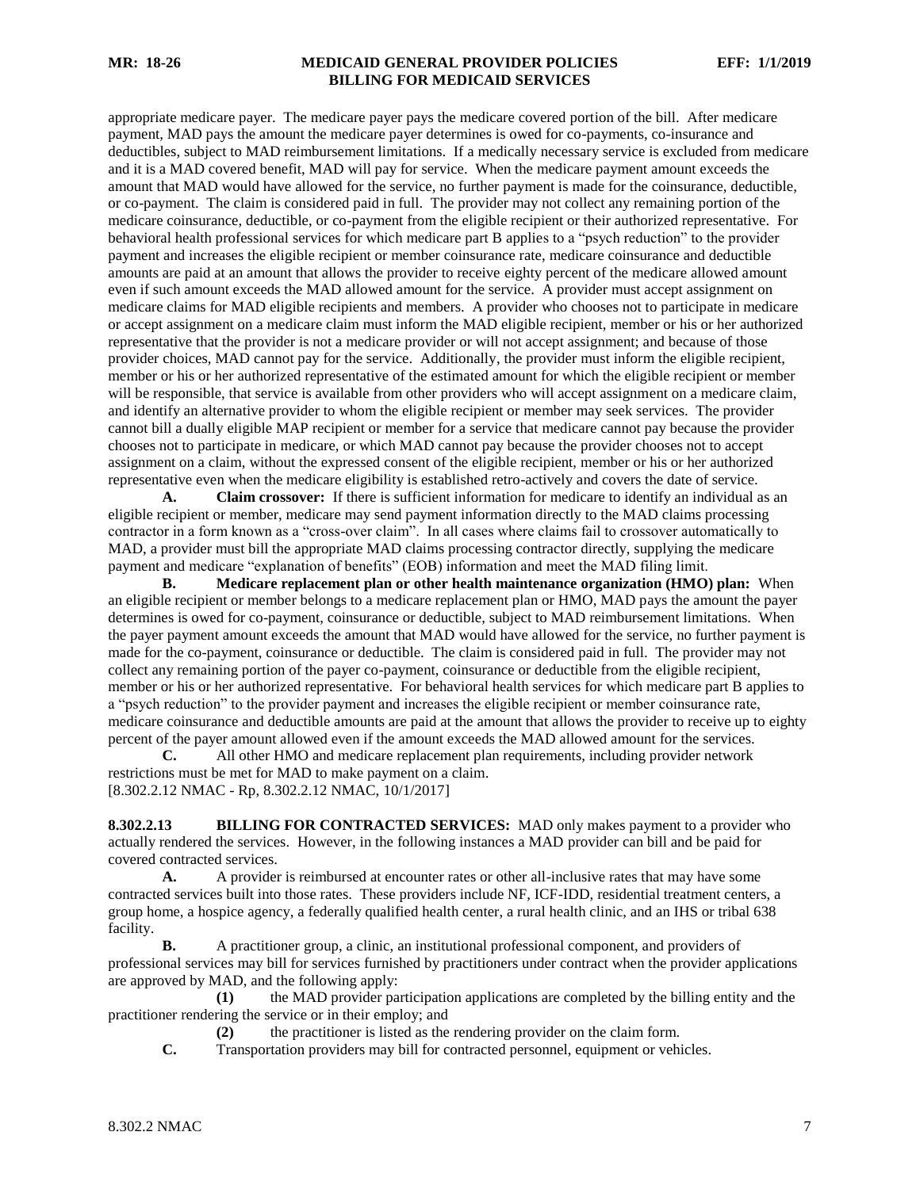appropriate medicare payer. The medicare payer pays the medicare covered portion of the bill. After medicare payment, MAD pays the amount the medicare payer determines is owed for co-payments, co-insurance and deductibles, subject to MAD reimbursement limitations. If a medically necessary service is excluded from medicare and it is a MAD covered benefit, MAD will pay for service. When the medicare payment amount exceeds the amount that MAD would have allowed for the service, no further payment is made for the coinsurance, deductible, or co-payment. The claim is considered paid in full. The provider may not collect any remaining portion of the medicare coinsurance, deductible, or co-payment from the eligible recipient or their authorized representative. For behavioral health professional services for which medicare part B applies to a "psych reduction" to the provider payment and increases the eligible recipient or member coinsurance rate, medicare coinsurance and deductible amounts are paid at an amount that allows the provider to receive eighty percent of the medicare allowed amount even if such amount exceeds the MAD allowed amount for the service. A provider must accept assignment on medicare claims for MAD eligible recipients and members. A provider who chooses not to participate in medicare or accept assignment on a medicare claim must inform the MAD eligible recipient, member or his or her authorized representative that the provider is not a medicare provider or will not accept assignment; and because of those provider choices, MAD cannot pay for the service. Additionally, the provider must inform the eligible recipient, member or his or her authorized representative of the estimated amount for which the eligible recipient or member will be responsible, that service is available from other providers who will accept assignment on a medicare claim, and identify an alternative provider to whom the eligible recipient or member may seek services. The provider cannot bill a dually eligible MAP recipient or member for a service that medicare cannot pay because the provider chooses not to participate in medicare, or which MAD cannot pay because the provider chooses not to accept assignment on a claim, without the expressed consent of the eligible recipient, member or his or her authorized representative even when the medicare eligibility is established retro-actively and covers the date of service.

**A. Claim crossover:** If there is sufficient information for medicare to identify an individual as an eligible recipient or member, medicare may send payment information directly to the MAD claims processing contractor in a form known as a "cross-over claim". In all cases where claims fail to crossover automatically to MAD, a provider must bill the appropriate MAD claims processing contractor directly, supplying the medicare payment and medicare "explanation of benefits" (EOB) information and meet the MAD filing limit.

**B. Medicare replacement plan or other health maintenance organization (HMO) plan:** When an eligible recipient or member belongs to a medicare replacement plan or HMO, MAD pays the amount the payer determines is owed for co-payment, coinsurance or deductible, subject to MAD reimbursement limitations. When the payer payment amount exceeds the amount that MAD would have allowed for the service, no further payment is made for the co-payment, coinsurance or deductible. The claim is considered paid in full. The provider may not collect any remaining portion of the payer co-payment, coinsurance or deductible from the eligible recipient, member or his or her authorized representative. For behavioral health services for which medicare part B applies to a "psych reduction" to the provider payment and increases the eligible recipient or member coinsurance rate, medicare coinsurance and deductible amounts are paid at the amount that allows the provider to receive up to eighty percent of the payer amount allowed even if the amount exceeds the MAD allowed amount for the services.

**C.** All other HMO and medicare replacement plan requirements, including provider network restrictions must be met for MAD to make payment on a claim. [8.302.2.12 NMAC - Rp, 8.302.2.12 NMAC, 10/1/2017]

<span id="page-7-0"></span>**8.302.2.13 BILLING FOR CONTRACTED SERVICES:** MAD only makes payment to a provider who actually rendered the services. However, in the following instances a MAD provider can bill and be paid for covered contracted services.

**A.** A provider is reimbursed at encounter rates or other all-inclusive rates that may have some contracted services built into those rates. These providers include NF, ICF-IDD, residential treatment centers, a group home, a hospice agency, a federally qualified health center, a rural health clinic, and an IHS or tribal 638 facility.

**B.** A practitioner group, a clinic, an institutional professional component, and providers of professional services may bill for services furnished by practitioners under contract when the provider applications are approved by MAD, and the following apply:

**(1)** the MAD provider participation applications are completed by the billing entity and the practitioner rendering the service or in their employ; and

**(2)** the practitioner is listed as the rendering provider on the claim form.

**C.** Transportation providers may bill for contracted personnel, equipment or vehicles.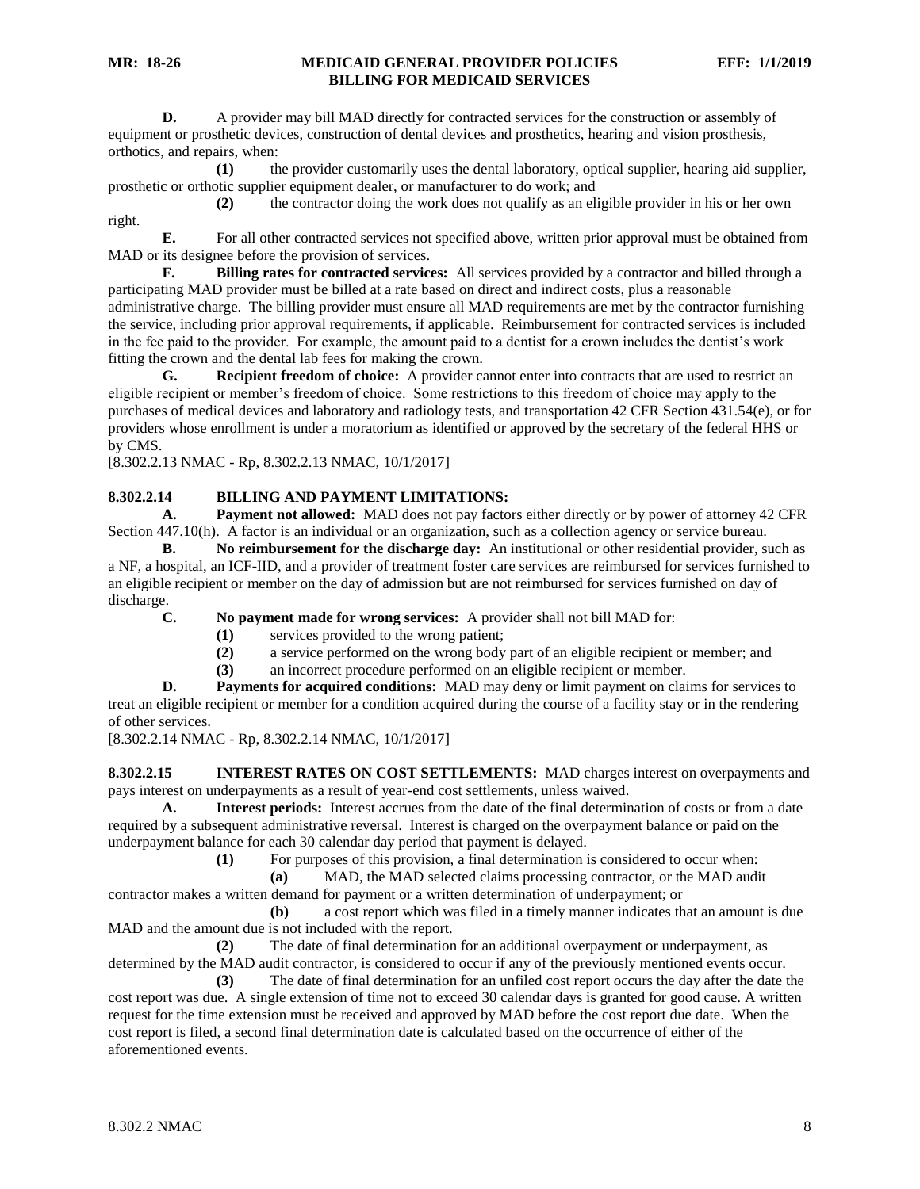**D.** A provider may bill MAD directly for contracted services for the construction or assembly of equipment or prosthetic devices, construction of dental devices and prosthetics, hearing and vision prosthesis, orthotics, and repairs, when:

**(1)** the provider customarily uses the dental laboratory, optical supplier, hearing aid supplier, prosthetic or orthotic supplier equipment dealer, or manufacturer to do work; and

**(2)** the contractor doing the work does not qualify as an eligible provider in his or her own right.

**E.** For all other contracted services not specified above, written prior approval must be obtained from MAD or its designee before the provision of services.

**F. Billing rates for contracted services:** All services provided by a contractor and billed through a participating MAD provider must be billed at a rate based on direct and indirect costs, plus a reasonable administrative charge. The billing provider must ensure all MAD requirements are met by the contractor furnishing the service, including prior approval requirements, if applicable. Reimbursement for contracted services is included in the fee paid to the provider. For example, the amount paid to a dentist for a crown includes the dentist's work fitting the crown and the dental lab fees for making the crown.

**G. Recipient freedom of choice:** A provider cannot enter into contracts that are used to restrict an eligible recipient or member's freedom of choice. Some restrictions to this freedom of choice may apply to the purchases of medical devices and laboratory and radiology tests, and transportation 42 CFR Section 431.54(e), or for providers whose enrollment is under a moratorium as identified or approved by the secretary of the federal HHS or by CMS.

[8.302.2.13 NMAC - Rp, 8.302.2.13 NMAC, 10/1/2017]

# <span id="page-8-0"></span>**8.302.2.14 BILLING AND PAYMENT LIMITATIONS:**

**A. Payment not allowed:** MAD does not pay factors either directly or by power of attorney 42 CFR Section 447.10(h). A factor is an individual or an organization, such as a collection agency or service bureau.

**B. No reimbursement for the discharge day:** An institutional or other residential provider, such as a NF, a hospital, an ICF-IID, and a provider of treatment foster care services are reimbursed for services furnished to an eligible recipient or member on the day of admission but are not reimbursed for services furnished on day of discharge.

**C. No payment made for wrong services:** A provider shall not bill MAD for:

- **(1)** services provided to the wrong patient;
- **(2)** a service performed on the wrong body part of an eligible recipient or member; and
- **(3)** an incorrect procedure performed on an eligible recipient or member.

**D. Payments for acquired conditions:** MAD may deny or limit payment on claims for services to treat an eligible recipient or member for a condition acquired during the course of a facility stay or in the rendering of other services.

[8.302.2.14 NMAC - Rp, 8.302.2.14 NMAC, 10/1/2017]

<span id="page-8-1"></span>**8.302.2.15 INTEREST RATES ON COST SETTLEMENTS:** MAD charges interest on overpayments and pays interest on underpayments as a result of year-end cost settlements, unless waived.

**A. Interest periods:** Interest accrues from the date of the final determination of costs or from a date required by a subsequent administrative reversal. Interest is charged on the overpayment balance or paid on the underpayment balance for each 30 calendar day period that payment is delayed.

**(1)** For purposes of this provision, a final determination is considered to occur when:

**(a)** MAD, the MAD selected claims processing contractor, or the MAD audit contractor makes a written demand for payment or a written determination of underpayment; or

**(b)** a cost report which was filed in a timely manner indicates that an amount is due MAD and the amount due is not included with the report.

**(2)** The date of final determination for an additional overpayment or underpayment, as determined by the MAD audit contractor, is considered to occur if any of the previously mentioned events occur.

**(3)** The date of final determination for an unfiled cost report occurs the day after the date the cost report was due. A single extension of time not to exceed 30 calendar days is granted for good cause. A written request for the time extension must be received and approved by MAD before the cost report due date. When the cost report is filed, a second final determination date is calculated based on the occurrence of either of the aforementioned events.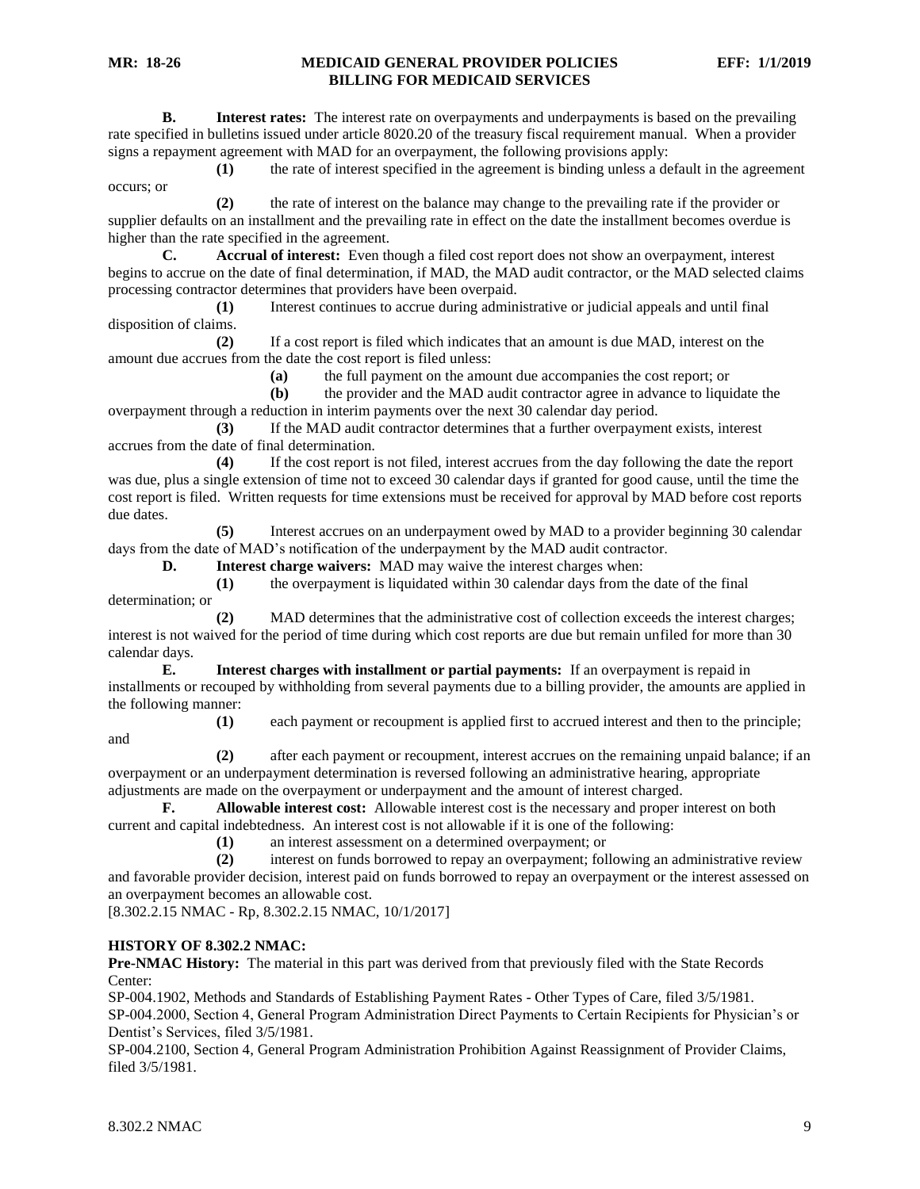**B. Interest rates:** The interest rate on overpayments and underpayments is based on the prevailing rate specified in bulletins issued under article 8020.20 of the treasury fiscal requirement manual. When a provider signs a repayment agreement with MAD for an overpayment, the following provisions apply:

**(1)** the rate of interest specified in the agreement is binding unless a default in the agreement occurs; or

**(2)** the rate of interest on the balance may change to the prevailing rate if the provider or supplier defaults on an installment and the prevailing rate in effect on the date the installment becomes overdue is higher than the rate specified in the agreement.

**C. Accrual of interest:** Even though a filed cost report does not show an overpayment, interest begins to accrue on the date of final determination, if MAD, the MAD audit contractor, or the MAD selected claims processing contractor determines that providers have been overpaid.

**(1)** Interest continues to accrue during administrative or judicial appeals and until final disposition of claims.

**(2)** If a cost report is filed which indicates that an amount is due MAD, interest on the amount due accrues from the date the cost report is filed unless:

**(a)** the full payment on the amount due accompanies the cost report; or

**(b)** the provider and the MAD audit contractor agree in advance to liquidate the overpayment through a reduction in interim payments over the next 30 calendar day period.

**(3)** If the MAD audit contractor determines that a further overpayment exists, interest accrues from the date of final determination.

**(4)** If the cost report is not filed, interest accrues from the day following the date the report was due, plus a single extension of time not to exceed 30 calendar days if granted for good cause, until the time the cost report is filed. Written requests for time extensions must be received for approval by MAD before cost reports due dates.

**(5)** Interest accrues on an underpayment owed by MAD to a provider beginning 30 calendar days from the date of MAD's notification of the underpayment by the MAD audit contractor.

**D. Interest charge waivers:** MAD may waive the interest charges when:

**(1)** the overpayment is liquidated within 30 calendar days from the date of the final determination; or

**(2)** MAD determines that the administrative cost of collection exceeds the interest charges; interest is not waived for the period of time during which cost reports are due but remain unfiled for more than 30 calendar days.

**E. Interest charges with installment or partial payments:** If an overpayment is repaid in installments or recouped by withholding from several payments due to a billing provider, the amounts are applied in the following manner:

and

**(1)** each payment or recoupment is applied first to accrued interest and then to the principle;

**(2)** after each payment or recoupment, interest accrues on the remaining unpaid balance; if an overpayment or an underpayment determination is reversed following an administrative hearing, appropriate adjustments are made on the overpayment or underpayment and the amount of interest charged.

**F. Allowable interest cost:** Allowable interest cost is the necessary and proper interest on both current and capital indebtedness. An interest cost is not allowable if it is one of the following:

**(1)** an interest assessment on a determined overpayment; or

**(2)** interest on funds borrowed to repay an overpayment; following an administrative review and favorable provider decision, interest paid on funds borrowed to repay an overpayment or the interest assessed on an overpayment becomes an allowable cost.

[8.302.2.15 NMAC - Rp, 8.302.2.15 NMAC, 10/1/2017]

# **HISTORY OF 8.302.2 NMAC:**

**Pre-NMAC History:** The material in this part was derived from that previously filed with the State Records Center:

SP-004.1902, Methods and Standards of Establishing Payment Rates - Other Types of Care, filed 3/5/1981. SP-004.2000, Section 4, General Program Administration Direct Payments to Certain Recipients for Physician's or Dentist's Services, filed 3/5/1981.

SP-004.2100, Section 4, General Program Administration Prohibition Against Reassignment of Provider Claims, filed 3/5/1981.